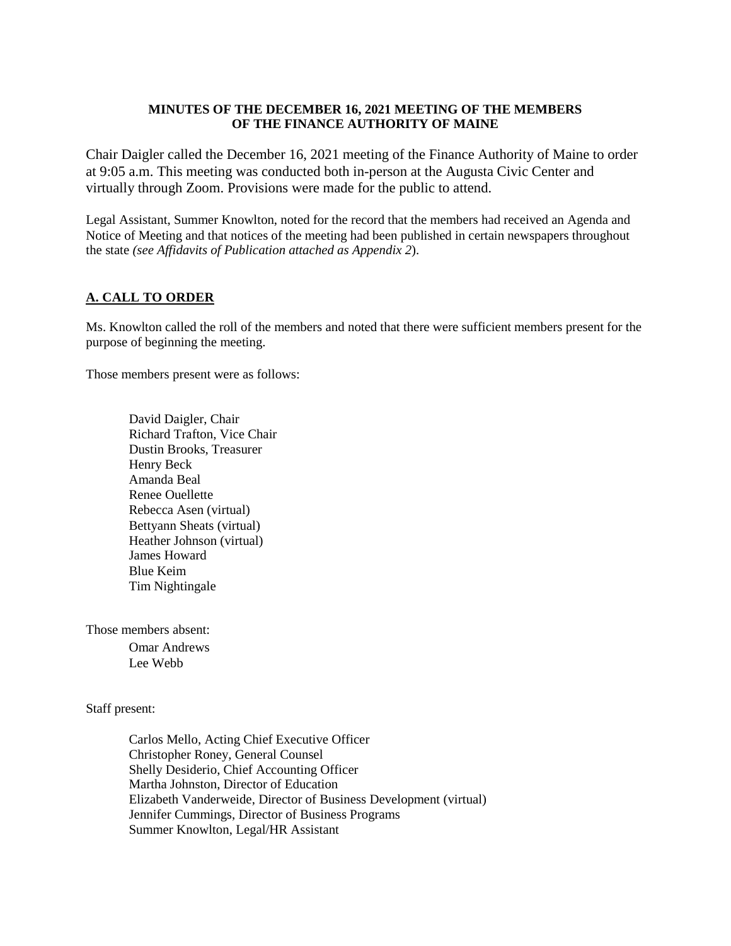### **MINUTES OF THE DECEMBER 16, 2021 MEETING OF THE MEMBERS OF THE FINANCE AUTHORITY OF MAINE**

Chair Daigler called the December 16, 2021 meeting of the Finance Authority of Maine to order at 9:05 a.m. This meeting was conducted both in-person at the Augusta Civic Center and virtually through Zoom. Provisions were made for the public to attend.

Legal Assistant, Summer Knowlton, noted for the record that the members had received an Agenda and Notice of Meeting and that notices of the meeting had been published in certain newspapers throughout the state *(see Affidavits of Publication attached as Appendix 2*).

## **A. CALL TO ORDER**

Ms. Knowlton called the roll of the members and noted that there were sufficient members present for the purpose of beginning the meeting.

Those members present were as follows:

David Daigler, Chair Richard Trafton, Vice Chair Dustin Brooks, Treasurer Henry Beck Amanda Beal Renee Ouellette Rebecca Asen (virtual) Bettyann Sheats (virtual) Heather Johnson (virtual) James Howard Blue Keim Tim Nightingale

Those members absent:

Omar Andrews Lee Webb

Staff present:

Carlos Mello, Acting Chief Executive Officer Christopher Roney, General Counsel Shelly Desiderio, Chief Accounting Officer Martha Johnston, Director of Education Elizabeth Vanderweide, Director of Business Development (virtual) Jennifer Cummings, Director of Business Programs Summer Knowlton, Legal/HR Assistant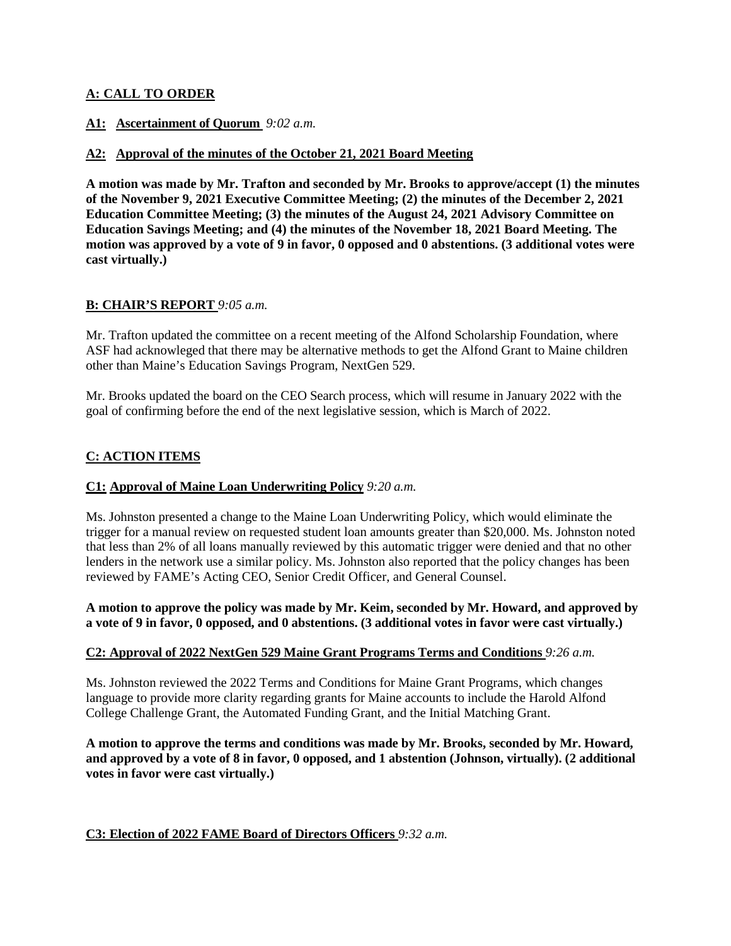## **A: CALL TO ORDER**

## **A1: Ascertainment of Quorum** *9:02 a.m.*

## **A2: Approval of the minutes of the October 21, 2021 Board Meeting**

**A motion was made by Mr. Trafton and seconded by Mr. Brooks to approve/accept (1) the minutes of the November 9, 2021 Executive Committee Meeting; (2) the minutes of the December 2, 2021 Education Committee Meeting; (3) the minutes of the August 24, 2021 Advisory Committee on Education Savings Meeting; and (4) the minutes of the November 18, 2021 Board Meeting. The motion was approved by a vote of 9 in favor, 0 opposed and 0 abstentions. (3 additional votes were cast virtually.)** 

## **B: CHAIR'S REPORT** *9:05 a.m.*

Mr. Trafton updated the committee on a recent meeting of the Alfond Scholarship Foundation, where ASF had acknowleged that there may be alternative methods to get the Alfond Grant to Maine children other than Maine's Education Savings Program, NextGen 529.

Mr. Brooks updated the board on the CEO Search process, which will resume in January 2022 with the goal of confirming before the end of the next legislative session, which is March of 2022.

# **C: ACTION ITEMS**

### **C1: Approval of Maine Loan Underwriting Policy** *9:20 a.m.*

Ms. Johnston presented a change to the Maine Loan Underwriting Policy, which would eliminate the trigger for a manual review on requested student loan amounts greater than \$20,000. Ms. Johnston noted that less than 2% of all loans manually reviewed by this automatic trigger were denied and that no other lenders in the network use a similar policy. Ms. Johnston also reported that the policy changes has been reviewed by FAME's Acting CEO, Senior Credit Officer, and General Counsel.

**A motion to approve the policy was made by Mr. Keim, seconded by Mr. Howard, and approved by a vote of 9 in favor, 0 opposed, and 0 abstentions. (3 additional votes in favor were cast virtually.)** 

### **C2: Approval of 2022 NextGen 529 Maine Grant Programs Terms and Conditions** *9:26 a.m.*

Ms. Johnston reviewed the 2022 Terms and Conditions for Maine Grant Programs, which changes language to provide more clarity regarding grants for Maine accounts to include the Harold Alfond College Challenge Grant, the Automated Funding Grant, and the Initial Matching Grant.

**A motion to approve the terms and conditions was made by Mr. Brooks, seconded by Mr. Howard, and approved by a vote of 8 in favor, 0 opposed, and 1 abstention (Johnson, virtually). (2 additional votes in favor were cast virtually.)** 

### **C3: Election of 2022 FAME Board of Directors Officers** *9:32 a.m.*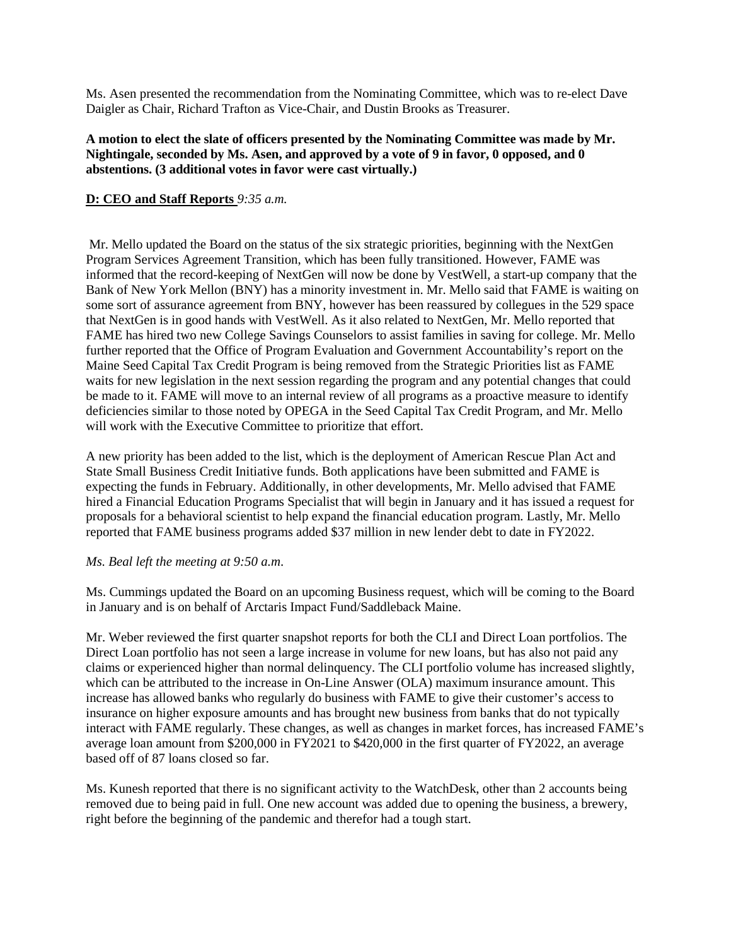Ms. Asen presented the recommendation from the Nominating Committee, which was to re-elect Dave Daigler as Chair, Richard Trafton as Vice-Chair, and Dustin Brooks as Treasurer.

## **A motion to elect the slate of officers presented by the Nominating Committee was made by Mr. Nightingale, seconded by Ms. Asen, and approved by a vote of 9 in favor, 0 opposed, and 0 abstentions. (3 additional votes in favor were cast virtually.)**

## **D: CEO and Staff Reports** *9:35 a.m.*

 Mr. Mello updated the Board on the status of the six strategic priorities, beginning with the NextGen Program Services Agreement Transition, which has been fully transitioned. However, FAME was informed that the record-keeping of NextGen will now be done by VestWell, a start-up company that the Bank of New York Mellon (BNY) has a minority investment in. Mr. Mello said that FAME is waiting on some sort of assurance agreement from BNY, however has been reassured by collegues in the 529 space that NextGen is in good hands with VestWell. As it also related to NextGen, Mr. Mello reported that FAME has hired two new College Savings Counselors to assist families in saving for college. Mr. Mello further reported that the Office of Program Evaluation and Government Accountability's report on the Maine Seed Capital Tax Credit Program is being removed from the Strategic Priorities list as FAME waits for new legislation in the next session regarding the program and any potential changes that could be made to it. FAME will move to an internal review of all programs as a proactive measure to identify deficiencies similar to those noted by OPEGA in the Seed Capital Tax Credit Program, and Mr. Mello will work with the Executive Committee to prioritize that effort.

A new priority has been added to the list, which is the deployment of American Rescue Plan Act and State Small Business Credit Initiative funds. Both applications have been submitted and FAME is expecting the funds in February. Additionally, in other developments, Mr. Mello advised that FAME hired a Financial Education Programs Specialist that will begin in January and it has issued a request for proposals for a behavioral scientist to help expand the financial education program. Lastly, Mr. Mello reported that FAME business programs added \$37 million in new lender debt to date in FY2022.

#### *Ms. Beal left the meeting at 9:50 a.m*.

Ms. Cummings updated the Board on an upcoming Business request, which will be coming to the Board in January and is on behalf of Arctaris Impact Fund/Saddleback Maine.

Mr. Weber reviewed the first quarter snapshot reports for both the CLI and Direct Loan portfolios. The Direct Loan portfolio has not seen a large increase in volume for new loans, but has also not paid any claims or experienced higher than normal delinquency. The CLI portfolio volume has increased slightly, which can be attributed to the increase in On-Line Answer (OLA) maximum insurance amount. This increase has allowed banks who regularly do business with FAME to give their customer's access to insurance on higher exposure amounts and has brought new business from banks that do not typically interact with FAME regularly. These changes, as well as changes in market forces, has increased FAME's average loan amount from \$200,000 in FY2021 to \$420,000 in the first quarter of FY2022, an average based off of 87 loans closed so far.

Ms. Kunesh reported that there is no significant activity to the WatchDesk, other than 2 accounts being removed due to being paid in full. One new account was added due to opening the business, a brewery, right before the beginning of the pandemic and therefor had a tough start.